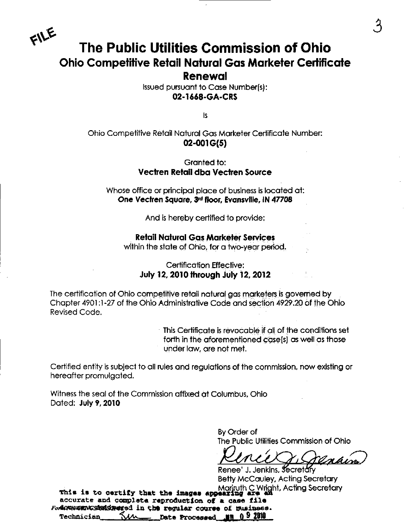

# The Public Utilities Commission of Ohio Ohio Competitive Retail Natural Gas Marketer Certificate Renewal

Issued pursuant to Case Numberfs): 02-1668-GA-CRS

is

### Ohio Competitive Retail Natural Gas Marketer Certificate Number: 02-001 G(5)

#### Granted to: Vectren Retail dbo Vectren Source

Whose office or principal place of business is iocated at: One Vectren Square, 3rd floor, Evansville, IN 47708

And is hereby certified to provide:

#### Retail Natural Gqs Marketer Services

within the state of Ohio, for a two-year period.

### Certification Effective: July 12, 2010 through July 12, 2012

The certification of Ohio competitive retail natural gas marketers is governed by Chapter 4901:1 -27 of the Ohio Administrative Code and section 4929.20 of the Ohio Revised Code.

> This Certificate is revocable if oil of the conditions set forth in the aforementioned case(s) as well as those under law, are not met.

Certified entity is subject to all rules and regulations of the commission, now existing or hereafter promulgated.

Witness the seal of the Commission affixed at Columbus, Ohio Dated: July 9,2010

> By Order of The Public Utilities Commission of Ohio

<u>Inhim</u>

Renee' J. Jenkins, Secretary Betty McCauley, Acting Secretary  $m$  is to continue that the increase  $m$  Mariruth C Wright, Acting Secretary This ia to oartif y that tha inagaa appaard&g ara an ^ ' accurate and complete reproduction of a case file ForMANNAMANGSMeMSARMated in the regular course of susiness.<br>Technician - KAA ----- Date Processed -- NN 0-9-2010 <u>Time</u> Date Processed Jin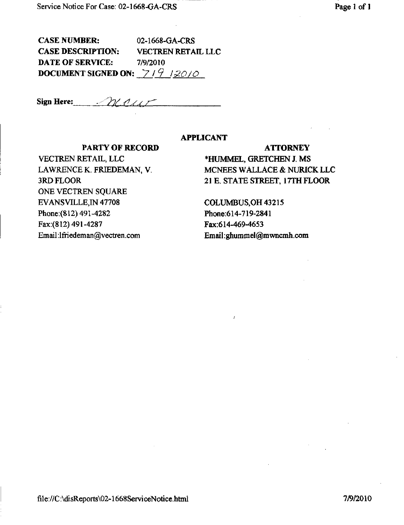CASE NUMBER: 02-1668-GA-CRS CASE DESCRIPTION: VECTREN RETAIL LLC DATE OF SERVICE: 7/9/2010 DOCUMENT SIGNED ON:  $7/9$  12010

Sign Here:  $\mathcal{L}\mathcal{L}\ell\ell\ell\ell\ell\ell$ 

#### APPLICANT

#### PARTY OF RECORD ATTORNEY

ONE VECTREN SQUARE EVANSVILLE,IN 47708 COLUMBUS,OH 43215 Phone:(812) 491-4282 Phone:614-719-2841 Fax:(812) 491-4287 Fax:614-469-4653 Email:lfriedeman@vectren.com Email:ghummel@mwncmh.com

# VECTREN RETAIL, LLC \*HUMMEL, GRETCHEN J. MS LAWRENCE K. FRIEDEMAN, V. MCNEES WALLACE & NURICK LLC 3RD FLOOR 21 E. STATE STREET, 17TH FLOOR